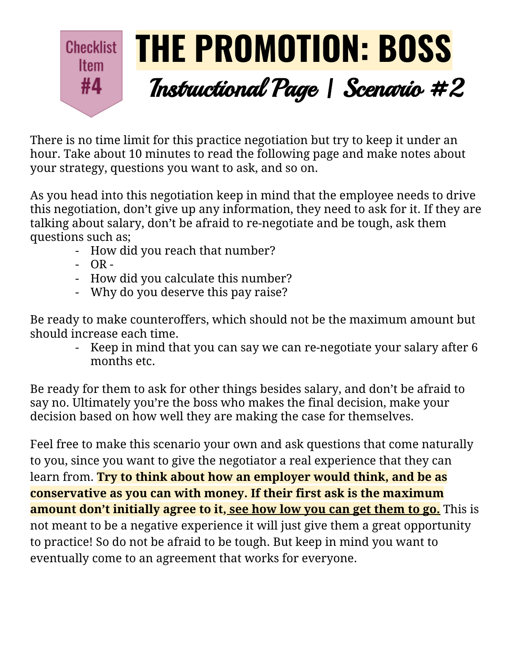## **THE PROMOTION: BOSS Checklist Item** #4 Instructional Page | Scenario #2

There is no time limit for this practice negotiation but try to keep it under an hour. Take about 10 minutes to read the following page and make notes about your strategy, questions you want to ask, and so on.

As you head into this negotiation keep in mind that the employee needs to drive this negotiation, don't give up any information, they need to ask for it. If they are talking about salary, don't be afraid to re-negotiate and be tough, ask them questions such as;

- How did you reach that number?
- $-$  OR  $-$
- How did you calculate this number?
- Why do you deserve this pay raise?

Be ready to make counteroffers, which should not be the maximum amount but should increase each time.

- Keep in mind that you can say we can re-negotiate your salary after 6 months etc.

Be ready for them to ask for other things besides salary, and don't be afraid to say no. Ultimately you're the boss who makes the final decision, make your decision based on how well they are making the case for themselves.

Feel free to make this scenario your own and ask questions that come naturally to you, since you want to give the negotiator a real experience that they can learn from. **Try to think about how an employer would think, and be as conservative as you can with money. If their first ask is the maximum amount don't initially agree to it, see how low you can get them to go.** This is not meant to be a negative experience it will just give them a great opportunity to practice! So do not be afraid to be tough. But keep in mind you want to eventually come to an agreement that works for everyone.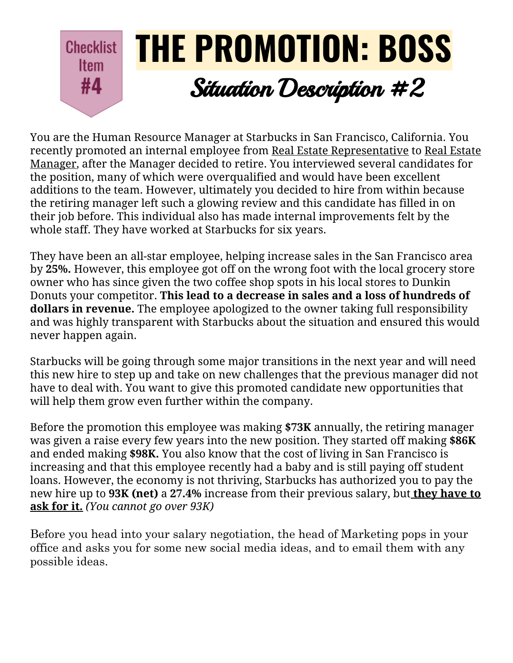## **THE PROMOTION: BOSS Checklist Item** #4 Situation Description #2

You are the Human Resource Manager at Starbucks in San Francisco, California. You recently promoted an internal employee from Real Estate Representative to Real Estate Manager, after the Manager decided to retire. You interviewed several candidates for the position, many of which were overqualified and would have been excellent additions to the team. However, ultimately you decided to hire from within because the retiring manager left such a glowing review and this candidate has filled in on their job before. This individual also has made internal improvements felt by the whole staff. They have worked at Starbucks for six years.

They have been an all-star employee, helping increase sales in the San Francisco area by **25%.** However, this employee got off on the wrong foot with the local grocery store owner who has since given the two coffee shop spots in his local stores to Dunkin Donuts your competitor. **This lead to a decrease in sales and a loss of hundreds of dollars in revenue.** The employee apologized to the owner taking full responsibility and was highly transparent with Starbucks about the situation and ensured this would never happen again.

Starbucks will be going through some major transitions in the next year and will need this new hire to step up and take on new challenges that the previous manager did not have to deal with. You want to give this promoted candidate new opportunities that will help them grow even further within the company.

Before the promotion this employee was making **\$73K** annually, the retiring manager was given a raise every few years into the new position. They started off making **\$86K** and ended making **\$98K.** You also know that the cost of living in San Francisco is increasing and that this employee recently had a baby and is still paying off student loans. However, the economy is not thriving, Starbucks has authorized you to pay the new hire up to **93K (net)** a **27.4%** increase from their previous salary, but **they have to ask for it.** *(You cannot go over 93K)*

Before you head into your salary negotiation, the head of Marketing pops in your office and asks you for some new social media ideas, and to email them with any possible ideas.